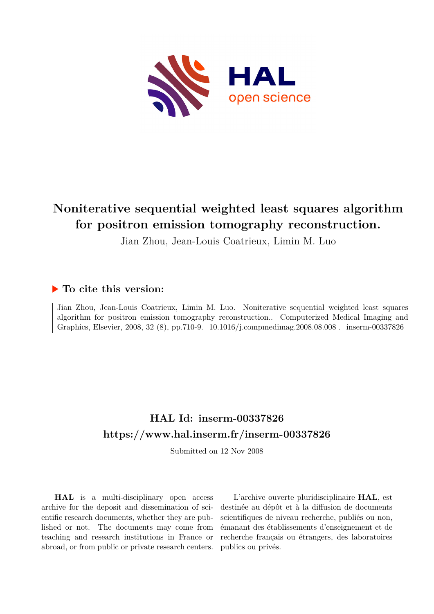

## **Noniterative sequential weighted least squares algorithm for positron emission tomography reconstruction.**

Jian Zhou, Jean-Louis Coatrieux, Limin M. Luo

### **To cite this version:**

Jian Zhou, Jean-Louis Coatrieux, Limin M. Luo. Noniterative sequential weighted least squares algorithm for positron emission tomography reconstruction.. Computerized Medical Imaging and Graphics, Elsevier, 2008, 32 (8), pp.710-9. 10.1016/j.compmedimag.2008.08.008. inserm-00337826

## **HAL Id: inserm-00337826 <https://www.hal.inserm.fr/inserm-00337826>**

Submitted on 12 Nov 2008

**HAL** is a multi-disciplinary open access archive for the deposit and dissemination of scientific research documents, whether they are published or not. The documents may come from teaching and research institutions in France or abroad, or from public or private research centers.

L'archive ouverte pluridisciplinaire **HAL**, est destinée au dépôt et à la diffusion de documents scientifiques de niveau recherche, publiés ou non, émanant des établissements d'enseignement et de recherche français ou étrangers, des laboratoires publics ou privés.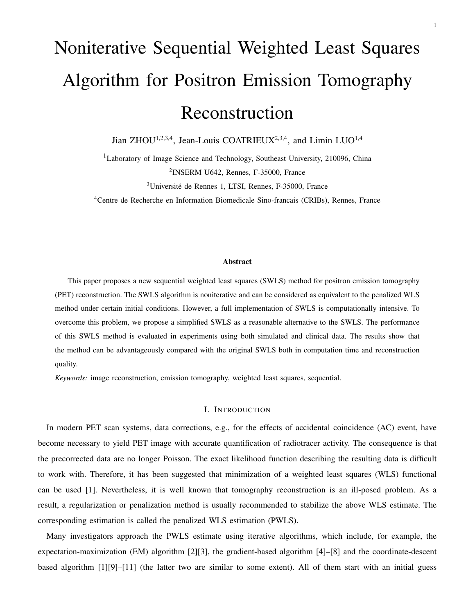# Noniterative Sequential Weighted Least Squares Algorithm for Positron Emission Tomography Reconstruction

Jian ZHOU<sup>1,2,3,4</sup>, Jean-Louis COATRIEUX<sup>2,3,4</sup>, and Limin LUO<sup>1,4</sup>

<sup>1</sup>Laboratory of Image Science and Technology, Southeast University, 210096, China 2 INSERM U642, Rennes, F-35000, France

<sup>3</sup>Université de Rennes 1, LTSI, Rennes, F-35000, France

<sup>4</sup>Centre de Recherche en Information Biomedicale Sino-francais (CRIBs), Rennes, France

#### Abstract

This paper proposes a new sequential weighted least squares (SWLS) method for positron emission tomography (PET) reconstruction. The SWLS algorithm is noniterative and can be considered as equivalent to the penalized WLS method under certain initial conditions. However, a full implementation of SWLS is computationally intensive. To overcome this problem, we propose a simplified SWLS as a reasonable alternative to the SWLS. The performance of this SWLS method is evaluated in experiments using both simulated and clinical data. The results show that the method can be advantageously compared with the original SWLS both in computation time and reconstruction quality.

*Keywords:* image reconstruction, emission tomography, weighted least squares, sequential.

#### I. INTRODUCTION

In modern PET scan systems, data corrections, e.g., for the effects of accidental coincidence (AC) event, have become necessary to yield PET image with accurate quantification of radiotracer activity. The consequence is that the precorrected data are no longer Poisson. The exact likelihood function describing the resulting data is difficult to work with. Therefore, it has been suggested that minimization of a weighted least squares (WLS) functional can be used [1]. Nevertheless, it is well known that tomography reconstruction is an ill-posed problem. As a result, a regularization or penalization method is usually recommended to stabilize the above WLS estimate. The corresponding estimation is called the penalized WLS estimation (PWLS).

Many investigators approach the PWLS estimate using iterative algorithms, which include, for example, the expectation-maximization (EM) algorithm [2][3], the gradient-based algorithm [4]–[8] and the coordinate-descent based algorithm [1][9]–[11] (the latter two are similar to some extent). All of them start with an initial guess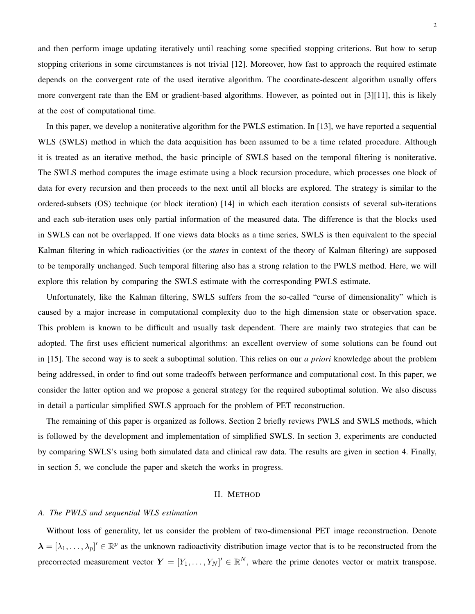and then perform image updating iteratively until reaching some specified stopping criterions. But how to setup stopping criterions in some circumstances is not trivial [12]. Moreover, how fast to approach the required estimate depends on the convergent rate of the used iterative algorithm. The coordinate-descent algorithm usually offers more convergent rate than the EM or gradient-based algorithms. However, as pointed out in [3][11], this is likely at the cost of computational time.

In this paper, we develop a noniterative algorithm for the PWLS estimation. In [13], we have reported a sequential WLS (SWLS) method in which the data acquisition has been assumed to be a time related procedure. Although it is treated as an iterative method, the basic principle of SWLS based on the temporal filtering is noniterative. The SWLS method computes the image estimate using a block recursion procedure, which processes one block of data for every recursion and then proceeds to the next until all blocks are explored. The strategy is similar to the ordered-subsets (OS) technique (or block iteration) [14] in which each iteration consists of several sub-iterations and each sub-iteration uses only partial information of the measured data. The difference is that the blocks used in SWLS can not be overlapped. If one views data blocks as a time series, SWLS is then equivalent to the special Kalman filtering in which radioactivities (or the *states* in context of the theory of Kalman filtering) are supposed to be temporally unchanged. Such temporal filtering also has a strong relation to the PWLS method. Here, we will explore this relation by comparing the SWLS estimate with the corresponding PWLS estimate.

Unfortunately, like the Kalman filtering, SWLS suffers from the so-called "curse of dimensionality" which is caused by a major increase in computational complexity duo to the high dimension state or observation space. This problem is known to be difficult and usually task dependent. There are mainly two strategies that can be adopted. The first uses efficient numerical algorithms: an excellent overview of some solutions can be found out in [15]. The second way is to seek a suboptimal solution. This relies on our *a priori* knowledge about the problem being addressed, in order to find out some tradeoffs between performance and computational cost. In this paper, we consider the latter option and we propose a general strategy for the required suboptimal solution. We also discuss in detail a particular simplified SWLS approach for the problem of PET reconstruction.

The remaining of this paper is organized as follows. Section 2 briefly reviews PWLS and SWLS methods, which is followed by the development and implementation of simplified SWLS. In section 3, experiments are conducted by comparing SWLS's using both simulated data and clinical raw data. The results are given in section 4. Finally, in section 5, we conclude the paper and sketch the works in progress.

#### II. METHOD

#### *A. The PWLS and sequential WLS estimation*

Without loss of generality, let us consider the problem of two-dimensional PET image reconstruction. Denote  $\lambda = [\lambda_1,\ldots,\lambda_p]^{\prime} \in \mathbb{R}^p$  as the unknown radioactivity distribution image vector that is to be reconstructed from the precorrected measurement vector  $Y = [Y_1, \ldots, Y_N]' \in \mathbb{R}^N$ , where the prime denotes vector or matrix transpose.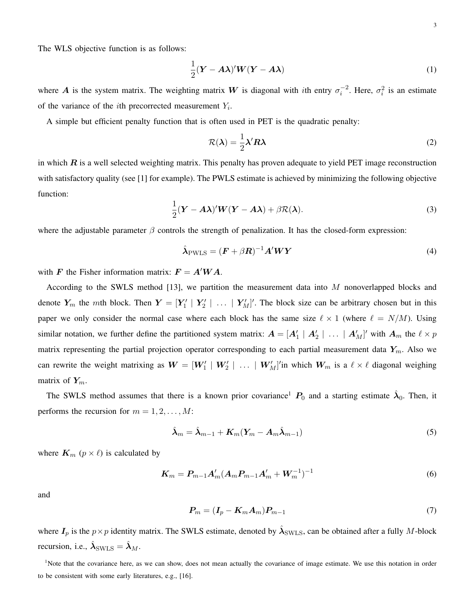The WLS objective function is as follows:

$$
\frac{1}{2}(\mathbf{Y} - \mathbf{A}\boldsymbol{\lambda})' \mathbf{W} (\mathbf{Y} - \mathbf{A}\boldsymbol{\lambda})
$$
 (1)

where A is the system matrix. The weighting matrix W is diagonal with ith entry  $\sigma_i^{-2}$  $i^2$ . Here,  $\sigma_i^2$  is an estimate of the variance of the *i*th precorrected measurement  $Y_i$ .

A simple but efficient penalty function that is often used in PET is the quadratic penalty:

$$
\mathcal{R}(\lambda) = \frac{1}{2}\lambda' R \lambda \tag{2}
$$

in which  $\bf{R}$  is a well selected weighting matrix. This penalty has proven adequate to yield PET image reconstruction with satisfactory quality (see [1] for example). The PWLS estimate is achieved by minimizing the following objective function:

$$
\frac{1}{2}(\mathbf{Y}-\mathbf{A}\boldsymbol{\lambda})'\mathbf{W}(\mathbf{Y}-\mathbf{A}\boldsymbol{\lambda})+\beta\mathcal{R}(\boldsymbol{\lambda}).
$$
\n(3)

where the adjustable parameter  $\beta$  controls the strength of penalization. It has the closed-form expression:

$$
\hat{\lambda}_{\text{PWLS}} = (\boldsymbol{F} + \beta \boldsymbol{R})^{-1} \boldsymbol{A}' \boldsymbol{W} \boldsymbol{Y} \tag{4}
$$

with F the Fisher information matrix:  $F = A'WA$ .

According to the SWLS method [13], we partition the measurement data into M nonoverlapped blocks and denote  $Y_m$  the mth block. Then  $Y = [Y'_1 \mid Y'_2 \mid \ldots \mid Y'_M]'$ . The block size can be arbitrary chosen but in this paper we only consider the normal case where each block has the same size  $\ell \times 1$  (where  $\ell = N/M$ ). Using similar notation, we further define the partitioned system matrix:  $A = [A'_1 \mid A'_2 \mid \ldots \mid A'_M]'$  with  $A_m$  the  $\ell \times p$ matrix representing the partial projection operator corresponding to each partial measurement data  $Y_m$ . Also we can rewrite the weight matrixing as  $W = [W'_1 | W'_2 | \dots | W'_M]'$  in which  $W_m$  is a  $\ell \times \ell$  diagonal weighing matrix of  $Y_m$ .

The SWLS method assumes that there is a known prior covariance<sup>1</sup>  $P_0$  and a starting estimate  $\hat{\lambda}_0$ . Then, it performs the recursion for  $m = 1, 2, \ldots, M$ :

$$
\hat{\boldsymbol{\lambda}}_m = \hat{\boldsymbol{\lambda}}_{m-1} + \boldsymbol{K}_m (\boldsymbol{Y}_m - \boldsymbol{A}_m \hat{\boldsymbol{\lambda}}_{m-1})
$$
\n(5)

where  $K_m$  ( $p \times l$ ) is calculated by

$$
K_m = P_{m-1}A'_m(A_mP_{m-1}A'_m + W_m^{-1})^{-1}
$$
\n(6)

and

$$
P_m = (I_p - K_m A_m) P_{m-1} \tag{7}
$$

where  $I_p$  is the  $p \times p$  identity matrix. The SWLS estimate, denoted by  $\hat{\lambda}_{\rm SWLS}$ , can be obtained after a fully M-block recursion, i.e.,  $\hat{\lambda}_{\text{SWLS}} = \hat{\lambda}_M$ .

<sup>1</sup>Note that the covariance here, as we can show, does not mean actually the covariance of image estimate. We use this notation in order to be consistent with some early literatures, e.g., [16].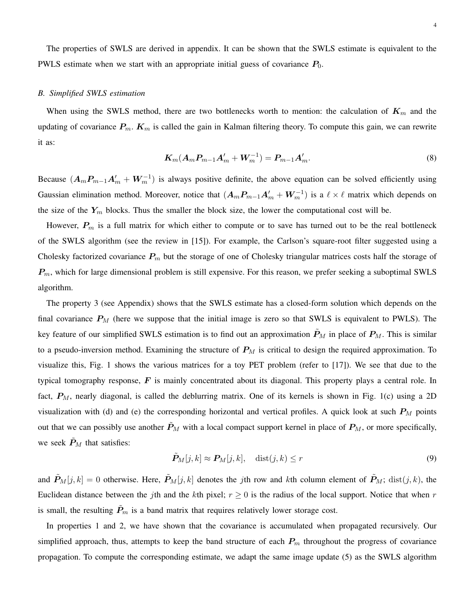The properties of SWLS are derived in appendix. It can be shown that the SWLS estimate is equivalent to the PWLS estimate when we start with an appropriate initial guess of covariance  $P_0$ .

#### *B. Simplified SWLS estimation*

When using the SWLS method, there are two bottlenecks worth to mention: the calculation of  $K_m$  and the updating of covariance  $P_m$ .  $K_m$  is called the gain in Kalman filtering theory. To compute this gain, we can rewrite it as:

$$
K_m(A_m P_{m-1} A'_m + W_m^{-1}) = P_{m-1} A'_m.
$$
\n(8)

Because  $(A_mP_{m-1}A'_m + W_m^{-1})$  is always positive definite, the above equation can be solved efficiently using Gaussian elimination method. Moreover, notice that  $(A_mP_{m-1}A'_m+W_m^{-1})$  is a  $\ell\times\ell$  matrix which depends on the size of the  $Y_m$  blocks. Thus the smaller the block size, the lower the computational cost will be.

However,  $P_m$  is a full matrix for which either to compute or to save has turned out to be the real bottleneck of the SWLS algorithm (see the review in [15]). For example, the Carlson's square-root filter suggested using a Cholesky factorized covariance  $P_m$  but the storage of one of Cholesky triangular matrices costs half the storage of  $P_m$ , which for large dimensional problem is still expensive. For this reason, we prefer seeking a suboptimal SWLS algorithm.

The property 3 (see Appendix) shows that the SWLS estimate has a closed-form solution which depends on the final covariance  $P_M$  (here we suppose that the initial image is zero so that SWLS is equivalent to PWLS). The key feature of our simplified SWLS estimation is to find out an approximation  $P_M$  in place of  $P_M$ . This is similar to a pseudo-inversion method. Examining the structure of  $P_M$  is critical to design the required approximation. To visualize this, Fig. 1 shows the various matrices for a toy PET problem (refer to [17]). We see that due to the typical tomography response,  $\vec{F}$  is mainly concentrated about its diagonal. This property plays a central role. In fact,  $P_M$ , nearly diagonal, is called the deblurring matrix. One of its kernels is shown in Fig. 1(c) using a 2D visualization with (d) and (e) the corresponding horizontal and vertical profiles. A quick look at such  $P_M$  points out that we can possibly use another  $\tilde{P}_M$  with a local compact support kernel in place of  $P_M$ , or more specifically, we seek  $\tilde{P}_M$  that satisfies:

$$
\tilde{P}_M[j,k] \approx P_M[j,k], \quad \text{dist}(j,k) \le r \tag{9}
$$

and  $\tilde{P}_M[j,k] = 0$  otherwise. Here,  $\tilde{P}_M[j,k]$  denotes the jth row and kth column element of  $\tilde{P}_M$ ; dist $(j,k)$ , the Euclidean distance between the jth and the kth pixel;  $r \geq 0$  is the radius of the local support. Notice that when r is small, the resulting  $\ddot{P}_m$  is a band matrix that requires relatively lower storage cost.

In properties 1 and 2, we have shown that the covariance is accumulated when propagated recursively. Our simplified approach, thus, attempts to keep the band structure of each  $P_m$  throughout the progress of covariance propagation. To compute the corresponding estimate, we adapt the same image update (5) as the SWLS algorithm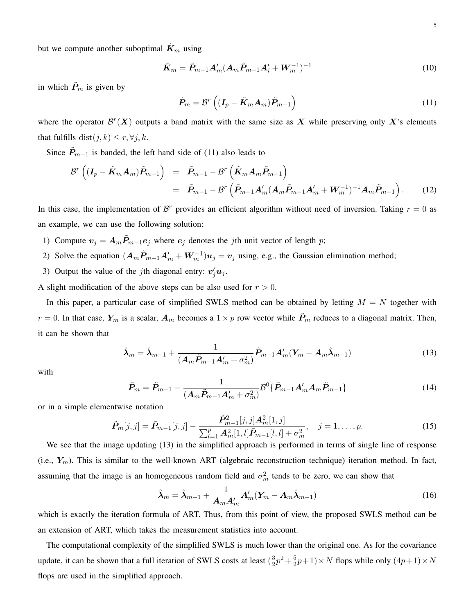but we compute another suboptimal  $\tilde{K}_m$  using

$$
\tilde{K}_m = \tilde{P}_{m-1} A'_m (A_m \tilde{P}_{m-1} A'_i + W_m^{-1})^{-1}
$$
\n(10)

in which  $\tilde{P}_m$  is given by

$$
\tilde{P}_m = \mathcal{B}^r \left( (I_p - \tilde{K}_m A_m) \tilde{P}_{m-1} \right)
$$
\n(11)

where the operator  $\mathcal{B}^r(X)$  outputs a band matrix with the same size as X while preserving only X's elements that fulfills dist $(j, k) \leq r, \forall j, k$ .

Since  $\tilde{P}_{m-1}$  is banded, the left hand side of (11) also leads to

$$
\mathcal{B}^r \left( (I_p - \tilde{K}_m A_m) \tilde{P}_{m-1} \right) = \tilde{P}_{m-1} - \mathcal{B}^r \left( \tilde{K}_m A_m \tilde{P}_{m-1} \right)
$$
  

$$
= \tilde{P}_{m-1} - \mathcal{B}^r \left( \tilde{P}_{m-1} A'_m (A_m \tilde{P}_{m-1} A'_m + W_m^{-1})^{-1} A_m \tilde{P}_{m-1} \right).
$$
 (12)

In this case, the implementation of  $\mathcal{B}^r$  provides an efficient algorithm without need of inversion. Taking  $r = 0$  as an example, we can use the following solution:

- 1) Compute  $v_j = A_m \tilde{P}_{m-1} e_j$  where  $e_j$  denotes the jth unit vector of length p;
- 2) Solve the equation  $(A_m \tilde{P}_{m-1} A'_m + W_m^{-1}) u_j = v_j$  using, e.g., the Gaussian elimination method;
- 3) Output the value of the *j*th diagonal entry:  $v'_j u_j$ .

A slight modification of the above steps can be also used for  $r > 0$ .

In this paper, a particular case of simplified SWLS method can be obtained by letting  $M = N$  together with  $r = 0$ . In that case,  $Y_m$  is a scalar,  $A_m$  becomes a  $1 \times p$  row vector while  $\tilde{P}_m$  reduces to a diagonal matrix. Then, it can be shown that

$$
\hat{\boldsymbol{\lambda}}_m = \hat{\boldsymbol{\lambda}}_{m-1} + \frac{1}{(\boldsymbol{A}_m \tilde{\boldsymbol{P}}_{m-1} \boldsymbol{A}'_m + \sigma_m^2)} \tilde{\boldsymbol{P}}_{m-1} \boldsymbol{A}'_m (\boldsymbol{Y}_m - \boldsymbol{A}_m \hat{\boldsymbol{\lambda}}_{m-1})
$$
(13)

with

$$
\tilde{P}_m = \tilde{P}_{m-1} - \frac{1}{(A_m \tilde{P}_{m-1} A'_m + \sigma_m^2)} \mathcal{B}^0 \{ \tilde{P}_{m-1} A'_m A_m \tilde{P}_{m-1} \}
$$
(14)

or in a simple elementwise notation

$$
\tilde{P}_{m}[j,j] = \tilde{P}_{m-1}[j,j] - \frac{\tilde{P}_{m-1}^{2}[j,j]A_{m}^{2}[1,j]}{\sum_{l=1}^{p} A_{m}^{2}[1,l] \tilde{P}_{m-1}[l,l] + \sigma_{m}^{2}}, \quad j = 1, \ldots, p.
$$
\n(15)

We see that the image updating (13) in the simplified approach is performed in terms of single line of response (i.e.,  $Y_m$ ). This is similar to the well-known ART (algebraic reconstruction technique) iteration method. In fact, assuming that the image is an homogeneous random field and  $\sigma_m^2$  tends to be zero, we can show that

$$
\hat{\boldsymbol{\lambda}}_m = \hat{\boldsymbol{\lambda}}_{m-1} + \frac{1}{\boldsymbol{A}_m \boldsymbol{A}_m'} \boldsymbol{A}_m' (\boldsymbol{Y}_m - \boldsymbol{A}_m \hat{\boldsymbol{\lambda}}_{m-1})
$$
(16)

which is exactly the iteration formula of ART. Thus, from this point of view, the proposed SWLS method can be an extension of ART, which takes the measurement statistics into account.

The computational complexity of the simplified SWLS is much lower than the original one. As for the covariance update, it can be shown that a full iteration of SWLS costs at least  $(\frac{3}{2})$  $\frac{3}{2}p^2 + \frac{5}{2}$  $\frac{5}{2}p+1 \times N$  flops while only  $(4p+1) \times N$ flops are used in the simplified approach.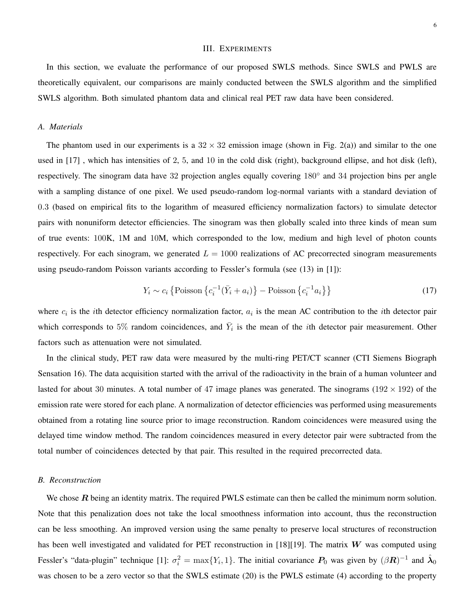#### III. EXPERIMENTS

In this section, we evaluate the performance of our proposed SWLS methods. Since SWLS and PWLS are theoretically equivalent, our comparisons are mainly conducted between the SWLS algorithm and the simplified SWLS algorithm. Both simulated phantom data and clinical real PET raw data have been considered.

#### *A. Materials*

The phantom used in our experiments is a  $32 \times 32$  emission image (shown in Fig. 2(a)) and similar to the one used in [17] , which has intensities of 2, 5, and 10 in the cold disk (right), background ellipse, and hot disk (left), respectively. The sinogram data have 32 projection angles equally covering 180◦ and 34 projection bins per angle with a sampling distance of one pixel. We used pseudo-random log-normal variants with a standard deviation of 0.3 (based on empirical fits to the logarithm of measured efficiency normalization factors) to simulate detector pairs with nonuniform detector efficiencies. The sinogram was then globally scaled into three kinds of mean sum of true events: 100K, 1M and 10M, which corresponded to the low, medium and high level of photon counts respectively. For each sinogram, we generated  $L = 1000$  realizations of AC precorrected sinogram measurements using pseudo-random Poisson variants according to Fessler's formula (see (13) in [1]):

$$
Y_i \sim c_i \left\{ \text{Poisson} \left\{ c_i^{-1} (\bar{Y}_i + a_i) \right\} - \text{Poisson} \left\{ c_i^{-1} a_i \right\} \right\} \tag{17}
$$

where  $c_i$  is the *i*th detector efficiency normalization factor,  $a_i$  is the mean AC contribution to the *i*th detector pair which corresponds to 5% random coincidences, and  $\bar{Y}_i$  is the mean of the *i*th detector pair measurement. Other factors such as attenuation were not simulated.

In the clinical study, PET raw data were measured by the multi-ring PET/CT scanner (CTI Siemens Biograph Sensation 16). The data acquisition started with the arrival of the radioactivity in the brain of a human volunteer and lasted for about 30 minutes. A total number of 47 image planes was generated. The sinograms ( $192 \times 192$ ) of the emission rate were stored for each plane. A normalization of detector efficiencies was performed using measurements obtained from a rotating line source prior to image reconstruction. Random coincidences were measured using the delayed time window method. The random coincidences measured in every detector pair were subtracted from the total number of coincidences detected by that pair. This resulted in the required precorrected data.

#### *B. Reconstruction*

We chose  $R$  being an identity matrix. The required PWLS estimate can then be called the minimum norm solution. Note that this penalization does not take the local smoothness information into account, thus the reconstruction can be less smoothing. An improved version using the same penalty to preserve local structures of reconstruction has been well investigated and validated for PET reconstruction in [18][19]. The matrix  $W$  was computed using Fessler's "data-plugin" technique [1]:  $\sigma_i^2 = \max\{Y_i, 1\}$ . The initial covariance  $P_0$  was given by  $(\beta \vec{R})^{-1}$  and  $\hat{\lambda}_0$ was chosen to be a zero vector so that the SWLS estimate (20) is the PWLS estimate (4) according to the property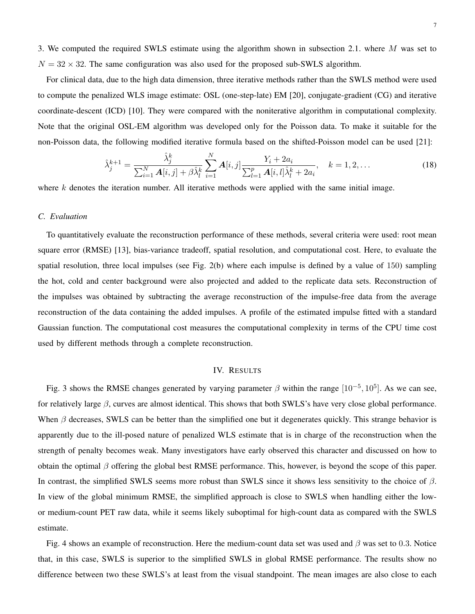3. We computed the required SWLS estimate using the algorithm shown in subsection 2.1. where  $M$  was set to  $N = 32 \times 32$ . The same configuration was also used for the proposed sub-SWLS algorithm.

For clinical data, due to the high data dimension, three iterative methods rather than the SWLS method were used to compute the penalized WLS image estimate: OSL (one-step-late) EM [20], conjugate-gradient (CG) and iterative coordinate-descent (ICD) [10]. They were compared with the noniterative algorithm in computational complexity. Note that the original OSL-EM algorithm was developed only for the Poisson data. To make it suitable for the non-Poisson data, the following modified iterative formula based on the shifted-Poisson model can be used [21]:

$$
\hat{\lambda}_j^{k+1} = \frac{\hat{\lambda}_j^k}{\sum_{i=1}^N \mathbf{A}[i,j] + \beta \hat{\lambda}_l^k} \sum_{i=1}^N \mathbf{A}[i,j] \frac{Y_i + 2a_i}{\sum_{l=1}^p \mathbf{A}[i,l] \hat{\lambda}_l^k + 2a_i}, \quad k = 1, 2, \dots
$$
\n(18)

where  $k$  denotes the iteration number. All iterative methods were applied with the same initial image.

#### *C. Evaluation*

To quantitatively evaluate the reconstruction performance of these methods, several criteria were used: root mean square error (RMSE) [13], bias-variance tradeoff, spatial resolution, and computational cost. Here, to evaluate the spatial resolution, three local impulses (see Fig. 2(b) where each impulse is defined by a value of 150) sampling the hot, cold and center background were also projected and added to the replicate data sets. Reconstruction of the impulses was obtained by subtracting the average reconstruction of the impulse-free data from the average reconstruction of the data containing the added impulses. A profile of the estimated impulse fitted with a standard Gaussian function. The computational cost measures the computational complexity in terms of the CPU time cost used by different methods through a complete reconstruction.

#### IV. RESULTS

Fig. 3 shows the RMSE changes generated by varying parameter  $\beta$  within the range  $[10^{-5}, 10^5]$ . As we can see, for relatively large  $\beta$ , curves are almost identical. This shows that both SWLS's have very close global performance. When  $\beta$  decreases, SWLS can be better than the simplified one but it degenerates quickly. This strange behavior is apparently due to the ill-posed nature of penalized WLS estimate that is in charge of the reconstruction when the strength of penalty becomes weak. Many investigators have early observed this character and discussed on how to obtain the optimal  $\beta$  offering the global best RMSE performance. This, however, is beyond the scope of this paper. In contrast, the simplified SWLS seems more robust than SWLS since it shows less sensitivity to the choice of  $\beta$ . In view of the global minimum RMSE, the simplified approach is close to SWLS when handling either the lowor medium-count PET raw data, while it seems likely suboptimal for high-count data as compared with the SWLS estimate.

Fig. 4 shows an example of reconstruction. Here the medium-count data set was used and  $\beta$  was set to 0.3. Notice that, in this case, SWLS is superior to the simplified SWLS in global RMSE performance. The results show no difference between two these SWLS's at least from the visual standpoint. The mean images are also close to each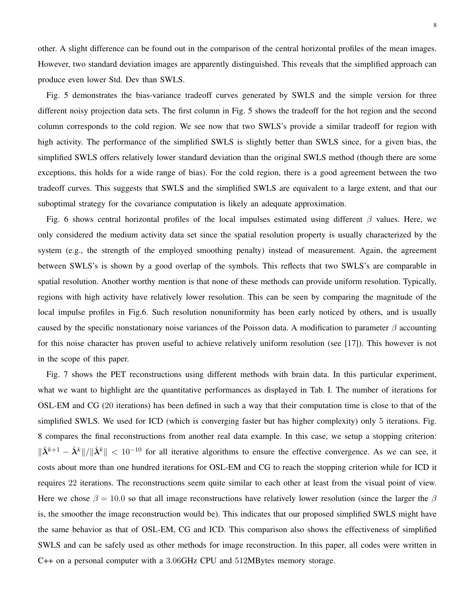other. A slight difference can be found out in the comparison of the central horizontal profiles of the mean images. However, two standard deviation images are apparently distinguished. This reveals that the simplified approach can produce even lower Std. Dev than SWLS.

Fig. 5 demonstrates the bias-variance tradeoff curves generated by SWLS and the simple version for three different noisy projection data sets. The first column in Fig. 5 shows the tradeoff for the hot region and the second column corresponds to the cold region. We see now that two SWLS's provide a similar tradeoff for region with high activity. The performance of the simplified SWLS is slightly better than SWLS since, for a given bias, the simplified SWLS offers relatively lower standard deviation than the original SWLS method (though there are some exceptions, this holds for a wide range of bias). For the cold region, there is a good agreement between the two tradeoff curves. This suggests that SWLS and the simplified SWLS are equivalent to a large extent, and that our suboptimal strategy for the covariance computation is likely an adequate approximation.

Fig. 6 shows central horizontal profiles of the local impulses estimated using different  $\beta$  values. Here, we only considered the medium activity data set since the spatial resolution property is usually characterized by the system (e.g., the strength of the employed smoothing penalty) instead of measurement. Again, the agreement between SWLS's is shown by a good overlap of the symbols. This reflects that two SWLS's are comparable in spatial resolution. Another worthy mention is that none of these methods can provide uniform resolution. Typically, regions with high activity have relatively lower resolution. This can be seen by comparing the magnitude of the local impulse profiles in Fig.6. Such resolution nonuniformity has been early noticed by others, and is usually caused by the specific nonstationary noise variances of the Poisson data. A modification to parameter  $\beta$  accounting for this noise character has proven useful to achieve relatively uniform resolution (see [17]). This however is not in the scope of this paper.

Fig. 7 shows the PET reconstructions using different methods with brain data. In this particular experiment, what we want to highlight are the quantitative performances as displayed in Tab. I. The number of iterations for OSL-EM and CG (20 iterations) has been defined in such a way that their computation time is close to that of the simplified SWLS. We used for ICD (which is converging faster but has higher complexity) only 5 iterations. Fig. 8 compares the final reconstructions from another real data example. In this case, we setup a stopping criterion:  $\|\hat{\lambda}^{k+1} - \hat{\lambda}^k\|/\|\hat{\lambda}^k\|$  < 10<sup>-10</sup> for all iterative algorithms to ensure the effective convergence. As we can see, it costs about more than one hundred iterations for OSL-EM and CG to reach the stopping criterion while for ICD it requires 22 iterations. The reconstructions seem quite similar to each other at least from the visual point of view. Here we chose  $\beta = 10.0$  so that all image reconstructions have relatively lower resolution (since the larger the  $\beta$ is, the smoother the image reconstruction would be). This indicates that our proposed simplified SWLS might have the same behavior as that of OSL-EM, CG and ICD. This comparison also shows the effectiveness of simplified SWLS and can be safely used as other methods for image reconstruction. In this paper, all codes were written in C++ on a personal computer with a 3.06GHz CPU and 512MBytes memory storage.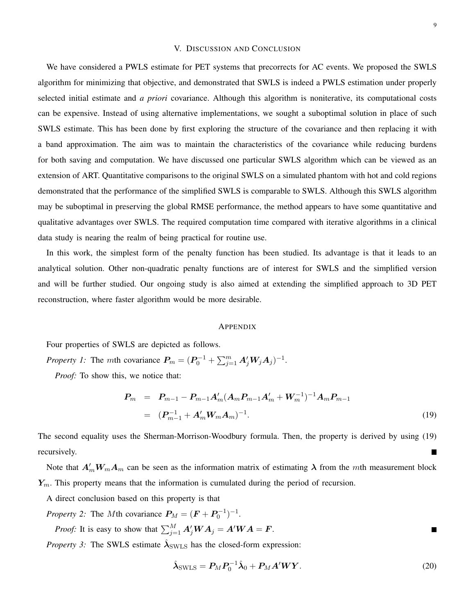#### V. DISCUSSION AND CONCLUSION

We have considered a PWLS estimate for PET systems that precorrects for AC events. We proposed the SWLS algorithm for minimizing that objective, and demonstrated that SWLS is indeed a PWLS estimation under properly selected initial estimate and *a priori* covariance. Although this algorithm is noniterative, its computational costs can be expensive. Instead of using alternative implementations, we sought a suboptimal solution in place of such SWLS estimate. This has been done by first exploring the structure of the covariance and then replacing it with a band approximation. The aim was to maintain the characteristics of the covariance while reducing burdens for both saving and computation. We have discussed one particular SWLS algorithm which can be viewed as an extension of ART. Quantitative comparisons to the original SWLS on a simulated phantom with hot and cold regions demonstrated that the performance of the simplified SWLS is comparable to SWLS. Although this SWLS algorithm may be suboptimal in preserving the global RMSE performance, the method appears to have some quantitative and qualitative advantages over SWLS. The required computation time compared with iterative algorithms in a clinical data study is nearing the realm of being practical for routine use.

In this work, the simplest form of the penalty function has been studied. Its advantage is that it leads to an analytical solution. Other non-quadratic penalty functions are of interest for SWLS and the simplified version and will be further studied. Our ongoing study is also aimed at extending the simplified approach to 3D PET reconstruction, where faster algorithm would be more desirable.

#### APPENDIX

Four properties of SWLS are depicted as follows.

*Property 1:* The *mth* covariance  $P_m = (P_0^{-1} + \sum_{j=1}^m A'_j W_j A_j)^{-1}$ .

*Proof:* To show this, we notice that:

$$
P_m = P_{m-1} - P_{m-1} A'_m (A_m P_{m-1} A'_m + W_m^{-1})^{-1} A_m P_{m-1}
$$
  
=  $(P_{m-1}^{-1} + A'_m W_m A_m)^{-1}$ . (19)

The second equality uses the Sherman-Morrison-Woodbury formula. Then, the property is derived by using (19) recursively.

Note that  $A'_m W_m A_m$  can be seen as the information matrix of estimating  $\lambda$  from the mth measurement block  $Y_m$ . This property means that the information is cumulated during the period of recursion.

A direct conclusion based on this property is that

*Property 2:* The *M*th covariance  $P_M = (F + P_0^{-1})^{-1}$ .

*Proof:* It is easy to show that 
$$
\sum_{j=1}^{M} A'_j W A_j = A' W A = F
$$
.

*Property 3:* The SWLS estimate  $\hat{\lambda}_{\text{SWLS}}$  has the closed-form expression:

$$
\hat{\lambda}_{\text{SWLS}} = P_M P_0^{-1} \hat{\lambda}_0 + P_M A' W Y. \tag{20}
$$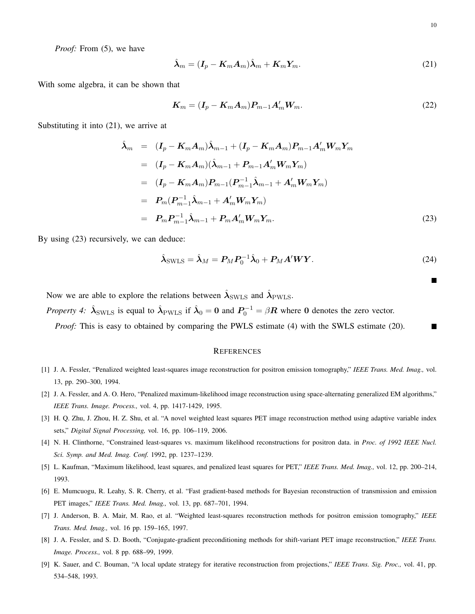*Proof:* From (5), we have

$$
\hat{\lambda}_m = (\mathbf{I}_p - \mathbf{K}_m \mathbf{A}_m) \hat{\lambda}_m + \mathbf{K}_m \mathbf{Y}_m. \tag{21}
$$

With some algebra, it can be shown that

$$
\boldsymbol{K}_m = (\boldsymbol{I}_p - \boldsymbol{K}_m \boldsymbol{A}_m) \boldsymbol{P}_{m-1} \boldsymbol{A}'_m \boldsymbol{W}_m. \tag{22}
$$

Substituting it into (21), we arrive at

$$
\hat{\lambda}_{m} = (I_{p} - K_{m}A_{m})\hat{\lambda}_{m-1} + (I_{p} - K_{m}A_{m})P_{m-1}A'_{m}W_{m}Y_{m} \n= (I_{p} - K_{m}A_{m})(\hat{\lambda}_{m-1} + P_{m-1}A'_{m}W_{m}Y_{m}) \n= (I_{p} - K_{m}A_{m})P_{m-1}(P_{m-1}^{-1}\hat{\lambda}_{m-1} + A'_{m}W_{m}Y_{m}) \n= P_{m}(P_{m-1}^{-1}\hat{\lambda}_{m-1} + A'_{m}W_{m}Y_{m}) \n= P_{m}P_{m-1}^{-1}\hat{\lambda}_{m-1} + P_{m}A'_{m}W_{m}Y_{m}.
$$
\n(23)

By using (23) recursively, we can deduce:

$$
\hat{\lambda}_{\text{SWLS}} = \hat{\lambda}_M = P_M P_0^{-1} \hat{\lambda}_0 + P_M A' W Y. \tag{24}
$$

Now we are able to explore the relations between  $\hat{\lambda}_{\text{SWLS}}$  and  $\hat{\lambda}_{\text{PWLS}}$ .

*Property 4:*  $\hat{\lambda}_{\text{SWLS}}$  is equal to  $\hat{\lambda}_{\text{PWLS}}$  if  $\hat{\lambda}_0 = 0$  and  $P_0^{-1} = \beta R$  where 0 denotes the zero vector.

*Proof:* This is easy to obtained by comparing the PWLS estimate (4) with the SWLS estimate (20). ■

#### **REFERENCES**

- [1] J. A. Fessler, "Penalized weighted least-squares image reconstruction for positron emission tomography," *IEEE Trans. Med. Imag.,* vol. 13, pp. 290–300, 1994.
- [2] J. A. Fessler, and A. O. Hero, "Penalized maximum-likelihood image reconstruction using space-alternating generalized EM algorithms," *IEEE Trans. Image. Process.,* vol. 4, pp. 1417-1429, 1995.
- [3] H. Q. Zhu, J. Zhou, H. Z. Shu, et al. "A novel weighted least squares PET image reconstruction method using adaptive variable index sets," *Digital Signal Processing,* vol. 16, pp. 106–119, 2006.
- [4] N. H. Clinthorne, "Constrained least-squares vs. maximum likelihood reconstructions for positron data. in *Proc. of 1992 IEEE Nucl. Sci. Symp. and Med. Imag. Conf.* 1992, pp. 1237–1239.
- [5] L. Kaufman, "Maximum likelihood, least squares, and penalized least squares for PET," *IEEE Trans. Med. Imag.,* vol. 12, pp. 200–214, 1993.
- [6] E. Mumcuogu, R. Leahy, S. R. Cherry, et al. "Fast gradient-based methods for Bayesian reconstruction of transmission and emission PET images," *IEEE Trans. Med. Imag.,* vol. 13, pp. 687–701, 1994.
- [7] J. Anderson, B. A. Mair, M. Rao, et al. "Weighted least-squares reconstruction methods for positron emission tomography," *IEEE Trans. Med. Imag.,* vol. 16 pp. 159–165, 1997.
- [8] J. A. Fessler, and S. D. Booth, "Conjugate-gradient preconditioning methods for shift-variant PET image reconstruction," *IEEE Trans. Image. Process.,* vol. 8 pp. 688–99, 1999.
- [9] K. Sauer, and C. Bouman, "A local update strategy for iterative reconstruction from projections," *IEEE Trans. Sig. Proc.,* vol. 41, pp. 534–548, 1993.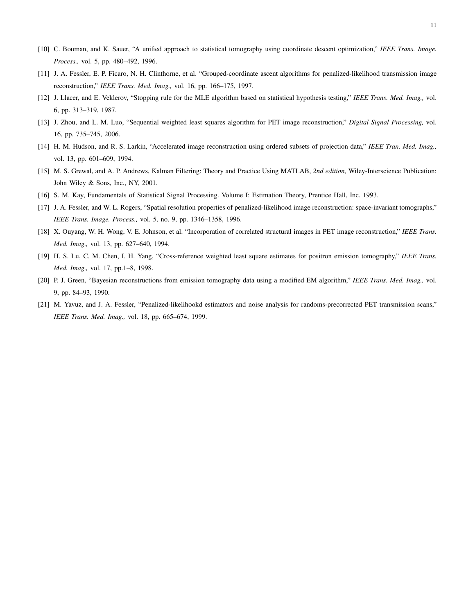- [10] C. Bouman, and K. Sauer, "A unified approach to statistical tomography using coordinate descent optimization," *IEEE Trans. Image. Process.,* vol. 5, pp. 480–492, 1996.
- [11] J. A. Fessler, E. P. Ficaro, N. H. Clinthorne, et al. "Grouped-coordinate ascent algorithms for penalized-likelihood transmission image reconstruction," *IEEE Trans. Med. Imag.,* vol. 16, pp. 166–175, 1997.
- [12] J. Llacer, and E. Veklerov, "Stopping rule for the MLE algorithm based on statistical hypothesis testing," *IEEE Trans. Med. Imag.,* vol. 6, pp. 313–319, 1987.
- [13] J. Zhou, and L. M. Luo, "Sequential weighted least squares algorithm for PET image reconstruction," *Digital Signal Processing,* vol. 16, pp. 735–745, 2006.
- [14] H. M. Hudson, and R. S. Larkin, "Accelerated image reconstruction using ordered subsets of projection data," *IEEE Tran. Med. Imag.,* vol. 13, pp. 601–609, 1994.
- [15] M. S. Grewal, and A. P. Andrews, Kalman Filtering: Theory and Practice Using MATLAB, *2nd edition,* Wiley-Interscience Publication: John Wiley & Sons, Inc., NY, 2001.
- [16] S. M. Kay, Fundamentals of Statistical Signal Processing. Volume I: Estimation Theory, Prentice Hall, Inc. 1993.
- [17] J. A. Fessler, and W. L. Rogers, "Spatial resolution properties of penalized-likelihood image reconstruction: space-invariant tomographs," *IEEE Trans. Image. Process.,* vol. 5, no. 9, pp. 1346–1358, 1996.
- [18] X. Ouyang, W. H. Wong, V. E. Johnson, et al. "Incorporation of correlated structural images in PET image reconstruction," *IEEE Trans. Med. Imag.,* vol. 13, pp. 627–640, 1994.
- [19] H. S. Lu, C. M. Chen, I. H. Yang, "Cross-reference weighted least square estimates for positron emission tomography," *IEEE Trans. Med. Imag.,* vol. 17, pp.1–8, 1998.
- [20] P. J. Green, "Bayesian reconstructions from emission tomography data using a modified EM algorithm," *IEEE Trans. Med. Imag.,* vol. 9, pp. 84–93, 1990.
- [21] M. Yavuz, and J. A. Fessler, "Penalized-likelihookd estimators and noise analysis for randoms-precorrected PET transmission scans," *IEEE Trans. Med. Imag.,* vol. 18, pp. 665–674, 1999.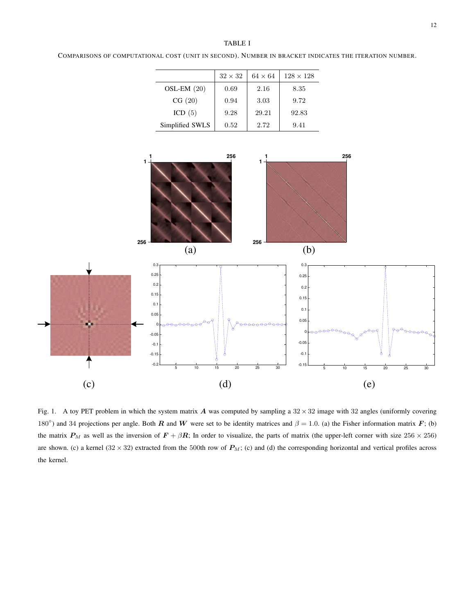#### TABLE I

COMPARISONS OF COMPUTATIONAL COST (UNIT IN SECOND). NUMBER IN BRACKET INDICATES THE ITERATION NUMBER.

|                 | $32 \times 32$ | $64 \times 64$ | $128\times128$ |
|-----------------|----------------|----------------|----------------|
| $OSL-EM(20)$    | 0.69           | 2.16           | 8.35           |
| CG(20)          | 0.94           | 3.03           | 9.72           |
| ICD $(5)$       | 9.28           | 29.21          | 92.83          |
| Simplified SWLS | 0.52           | 2.72           | 9.41           |



Fig. 1. A toy PET problem in which the system matrix A was computed by sampling a  $32 \times 32$  image with 32 angles (uniformly covering 180<sup>°</sup>) and 34 projections per angle. Both R and W were set to be identity matrices and  $\beta = 1.0$ . (a) the Fisher information matrix F; (b) the matrix  $P_M$  as well as the inversion of  $F + \beta R$ ; In order to visualize, the parts of matrix (the upper-left corner with size  $256 \times 256$ ) are shown. (c) a kernel (32 × 32) extracted from the 500th row of  $P_M$ ; (c) and (d) the corresponding horizontal and vertical profiles across the kernel.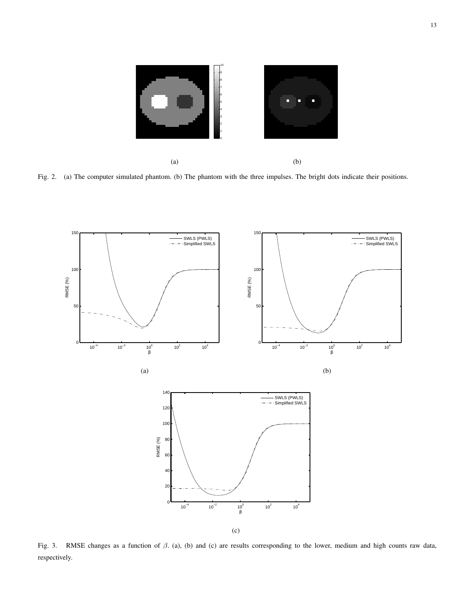

Fig. 2. (a) The computer simulated phantom. (b) The phantom with the three impulses. The bright dots indicate their positions.



Fig. 3. RMSE changes as a function of β. (a), (b) and (c) are results corresponding to the lower, medium and high counts raw data, respectively.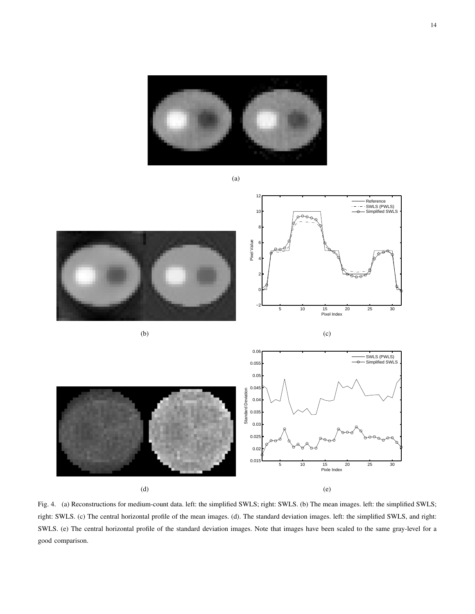

(a)

 $12$ Reference SWLS (PWLS) Simplified SWLS  $10$ 8 Pixel Value 6 4 2 0 −2 5 10 15 20 25 30 Pixel Index (b) (c) 0.06 SWLS (PWLS) Simplified SWLS 0.055 0.05 0.045 Standard Deviation Standard Deviation 0.04 0.035 0.03 0.025 0.02 0.015 5 10 15 20 25 30 Pixle Index (d) (e)

Fig. 4. (a) Reconstructions for medium-count data. left: the simplified SWLS; right: SWLS. (b) The mean images. left: the simplified SWLS; right: SWLS. (c) The central horizontal profile of the mean images. (d). The standard deviation images. left: the simplified SWLS, and right: SWLS. (e) The central horizontal profile of the standard deviation images. Note that images have been scaled to the same gray-level for a good comparison.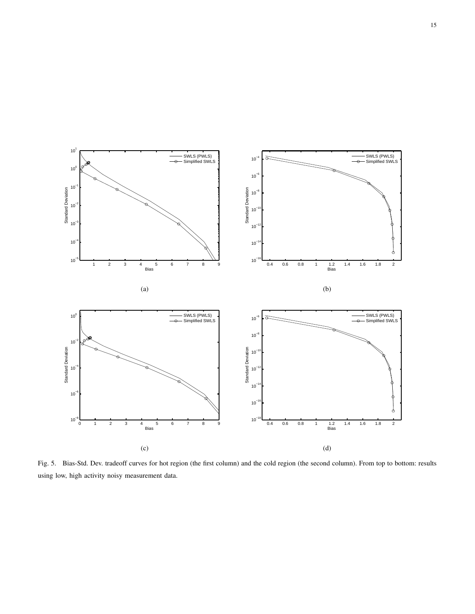

Fig. 5. Bias-Std. Dev. tradeoff curves for hot region (the first column) and the cold region (the second column). From top to bottom: results using low, high activity noisy measurement data.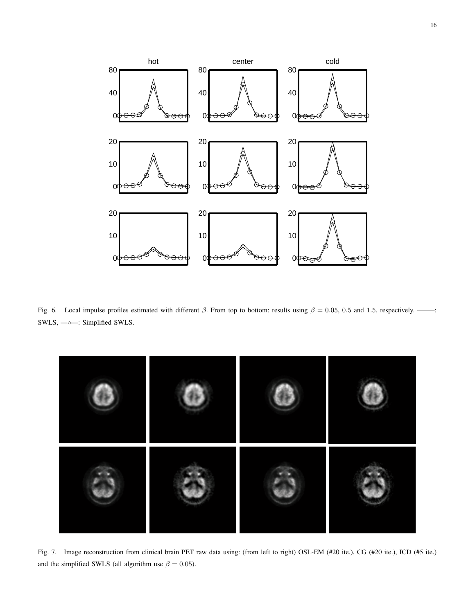

Fig. 6. Local impulse profiles estimated with different  $\beta$ . From top to bottom: results using  $\beta = 0.05$ , 0.5 and 1.5, respectively. ——–: SWLS, —◦—: Simplified SWLS.



Fig. 7. Image reconstruction from clinical brain PET raw data using: (from left to right) OSL-EM (#20 ite.), CG (#20 ite.), ICD (#5 ite.) and the simplified SWLS (all algorithm use  $\beta = 0.05$ ).